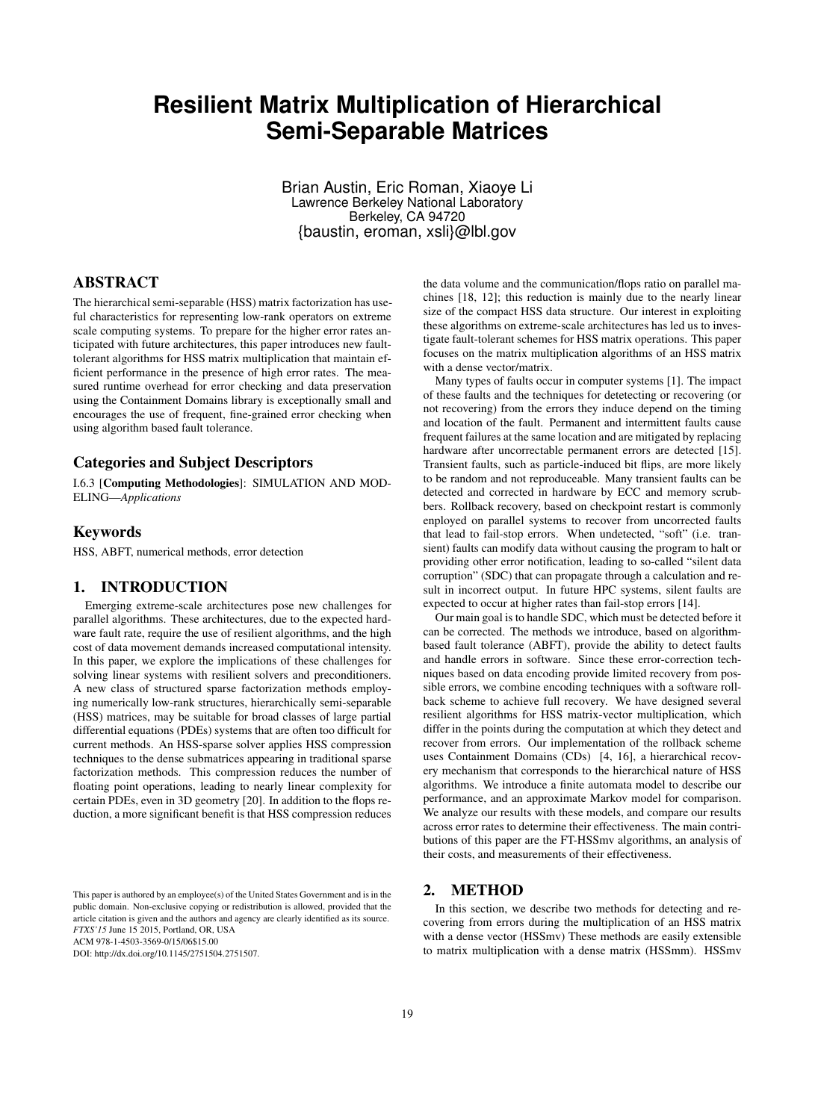# **Resilient Matrix Multiplication of Hierarchical Semi-Separable Matrices**

Brian Austin, Eric Roman, Xiaoye Li Lawrence Berkeley National Laboratory Berkeley, CA 94720 {baustin, eroman, xsli}@lbl.gov

# ABSTRACT

The hierarchical semi-separable (HSS) matrix factorization has useful characteristics for representing low-rank operators on extreme scale computing systems. To prepare for the higher error rates anticipated with future architectures, this paper introduces new faulttolerant algorithms for HSS matrix multiplication that maintain efficient performance in the presence of high error rates. The measured runtime overhead for error checking and data preservation using the Containment Domains library is exceptionally small and encourages the use of frequent, fine-grained error checking when using algorithm based fault tolerance.

# Categories and Subject Descriptors

I.6.3 [Computing Methodologies]: SIMULATION AND MOD-ELING—*Applications*

# Keywords

HSS, ABFT, numerical methods, error detection

#### 1. INTRODUCTION

Emerging extreme-scale architectures pose new challenges for parallel algorithms. These architectures, due to the expected hardware fault rate, require the use of resilient algorithms, and the high cost of data movement demands increased computational intensity. In this paper, we explore the implications of these challenges for solving linear systems with resilient solvers and preconditioners. A new class of structured sparse factorization methods employing numerically low-rank structures, hierarchically semi-separable (HSS) matrices, may be suitable for broad classes of large partial differential equations (PDEs) systems that are often too difficult for current methods. An HSS-sparse solver applies HSS compression techniques to the dense submatrices appearing in traditional sparse factorization methods. This compression reduces the number of floating point operations, leading to nearly linear complexity for certain PDEs, even in 3D geometry [20]. In addition to the flops reduction, a more significant benefit is that HSS compression reduces

This paper is authored by an employee(s) of the United States Government and is in the public domain. Non-exclusive copying or redistribution is allowed, provided that the article citation is given and the authors and agency are clearly identified as its source. *FTXS'15* June 15 2015, Portland, OR, USA ACM 978-1-4503-3569-0/15/06\$15.00

DOI: http://dx.doi.org/10.1145/2751504.2751507.

the data volume and the communication/flops ratio on parallel machines [18, 12]; this reduction is mainly due to the nearly linear size of the compact HSS data structure. Our interest in exploiting these algorithms on extreme-scale architectures has led us to investigate fault-tolerant schemes for HSS matrix operations. This paper focuses on the matrix multiplication algorithms of an HSS matrix with a dense vector/matrix.

Many types of faults occur in computer systems [1]. The impact of these faults and the techniques for detetecting or recovering (or not recovering) from the errors they induce depend on the timing and location of the fault. Permanent and intermittent faults cause frequent failures at the same location and are mitigated by replacing hardware after uncorrectable permanent errors are detected [15]. Transient faults, such as particle-induced bit flips, are more likely to be random and not reproduceable. Many transient faults can be detected and corrected in hardware by ECC and memory scrubbers. Rollback recovery, based on checkpoint restart is commonly enployed on parallel systems to recover from uncorrected faults that lead to fail-stop errors. When undetected, "soft" (i.e. transient) faults can modify data without causing the program to halt or providing other error notification, leading to so-called "silent data corruption" (SDC) that can propagate through a calculation and result in incorrect output. In future HPC systems, silent faults are expected to occur at higher rates than fail-stop errors [14].

Our main goal is to handle SDC, which must be detected before it can be corrected. The methods we introduce, based on algorithmbased fault tolerance (ABFT), provide the ability to detect faults and handle errors in software. Since these error-correction techniques based on data encoding provide limited recovery from possible errors, we combine encoding techniques with a software rollback scheme to achieve full recovery. We have designed several resilient algorithms for HSS matrix-vector multiplication, which differ in the points during the computation at which they detect and recover from errors. Our implementation of the rollback scheme uses Containment Domains (CDs) [4, 16], a hierarchical recovery mechanism that corresponds to the hierarchical nature of HSS algorithms. We introduce a finite automata model to describe our performance, and an approximate Markov model for comparison. We analyze our results with these models, and compare our results across error rates to determine their effectiveness. The main contributions of this paper are the FT-HSSmv algorithms, an analysis of their costs, and measurements of their effectiveness.

# 2. METHOD

In this section, we describe two methods for detecting and recovering from errors during the multiplication of an HSS matrix with a dense vector (HSSmv) These methods are easily extensible to matrix multiplication with a dense matrix (HSSmm). HSSmv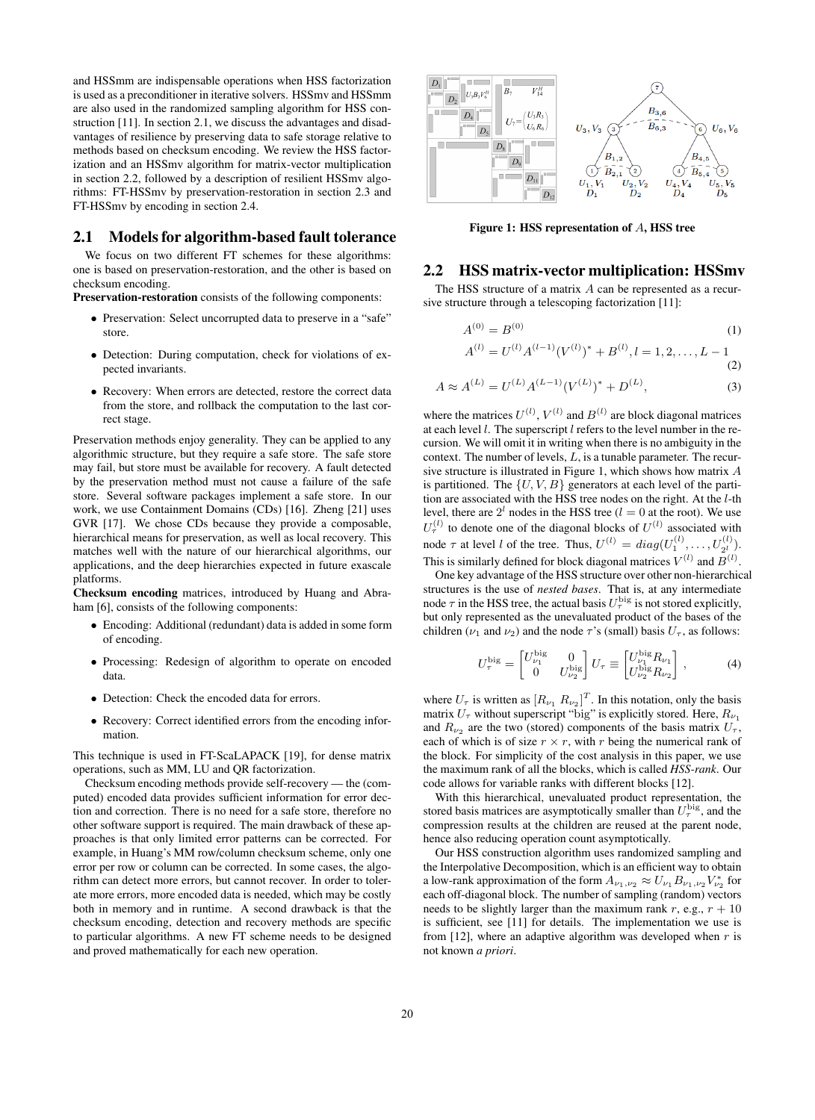and HSSmm are indispensable operations when HSS factorization is used as a preconditioner in iterative solvers. HSSmv and HSSmm are also used in the randomized sampling algorithm for HSS construction [11]. In section 2.1, we discuss the advantages and disadvantages of resilience by preserving data to safe storage relative to methods based on checksum encoding. We review the HSS factorization and an HSSmv algorithm for matrix-vector multiplication in section 2.2, followed by a description of resilient HSSmv algorithms: FT-HSSmv by preservation-restoration in section 2.3 and FT-HSSmv by encoding in section 2.4.

# 2.1 Models for algorithm-based fault tolerance

We focus on two different FT schemes for these algorithms: one is based on preservation-restoration, and the other is based on checksum encoding.

Preservation-restoration consists of the following components:

- Preservation: Select uncorrupted data to preserve in a "safe" store.
- Detection: During computation, check for violations of expected invariants.
- Recovery: When errors are detected, restore the correct data from the store, and rollback the computation to the last correct stage.

Preservation methods enjoy generality. They can be applied to any algorithmic structure, but they require a safe store. The safe store may fail, but store must be available for recovery. A fault detected by the preservation method must not cause a failure of the safe store. Several software packages implement a safe store. In our work, we use Containment Domains (CDs) [16]. Zheng [21] uses GVR [17]. We chose CDs because they provide a composable, hierarchical means for preservation, as well as local recovery. This matches well with the nature of our hierarchical algorithms, our applications, and the deep hierarchies expected in future exascale platforms.

Checksum encoding matrices, introduced by Huang and Abraham [6], consists of the following components:

- Encoding: Additional (redundant) data is added in some form of encoding.
- Processing: Redesign of algorithm to operate on encoded data.
- Detection: Check the encoded data for errors.
- Recovery: Correct identified errors from the encoding information.

This technique is used in FT-ScaLAPACK [19], for dense matrix operations, such as MM, LU and QR factorization.

Checksum encoding methods provide self-recovery — the (computed) encoded data provides sufficient information for error dection and correction. There is no need for a safe store, therefore no other software support is required. The main drawback of these approaches is that only limited error patterns can be corrected. For example, in Huang's MM row/column checksum scheme, only one error per row or column can be corrected. In some cases, the algorithm can detect more errors, but cannot recover. In order to tolerate more errors, more encoded data is needed, which may be costly both in memory and in runtime. A second drawback is that the checksum encoding, detection and recovery methods are specific to particular algorithms. A new FT scheme needs to be designed and proved mathematically for each new operation.



Figure 1: HSS representation of A, HSS tree

#### 2.2 HSS matrix-vector multiplication: HSSmv

The HSS structure of a matrix A can be represented as a recursive structure through a telescoping factorization [11]:

$$
A^{(0)} = B^{(0)} \tag{1}
$$
\n
$$
A^{(0)} = B^{(0)} \tag{2}
$$

$$
A^{(l)} = U^{(l)} A^{(l-1)} (V^{(l)})^* + B^{(l)}, l = 1, 2, \dots, L - 1
$$
\n(2)

$$
A \approx A^{(L)} = U^{(L)} A^{(L-1)} (V^{(L)})^* + D^{(L)}, \tag{3}
$$

where the matrices  $U^{(l)}$ ,  $V^{(l)}$  and  $B^{(l)}$  are block diagonal matrices at each level  $l$ . The superscript  $l$  refers to the level number in the recursion. We will omit it in writing when there is no ambiguity in the context. The number of levels,  $L$ , is a tunable parameter. The recursive structure is illustrated in Figure 1, which shows how matrix A is partitioned. The  $\{U, V, B\}$  generators at each level of the partition are associated with the HSS tree nodes on the right. At the l-th level, there are  $2^l$  nodes in the HSS tree ( $l = 0$  at the root). We use  $U_{\tau}^{(l)}$  to denote one of the diagonal blocks of  $U^{(l)}$  associated with node  $\tau$  at level l of the tree. Thus,  $U^{(l)} = diag(U_1^{(l)},..., U_{2^l}^{(l)})$ . This is similarly defined for block diagonal matrices  $V^{(l)}$  and  $B^{(l)}$ .

One key advantage of the HSS structure over other non-hierarchical structures is the use of *nested bases*. That is, at any intermediate node  $\tau$  in the HSS tree, the actual basis  $U_{\tau}^{\text{big}}$  is not stored explicitly, but only represented as the unevaluated product of the bases of the children ( $\nu_1$  and  $\nu_2$ ) and the node  $\tau$ 's (small) basis  $U_\tau$ , as follows:

$$
U_{\tau}^{\text{big}} = \begin{bmatrix} U_{\nu_1}^{\text{big}} & 0 \\ 0 & U_{\nu_2}^{\text{big}} \end{bmatrix} U_{\tau} \equiv \begin{bmatrix} U_{\nu_1}^{\text{big}} R_{\nu_1} \\ U_{\nu_2}^{\text{big}} R_{\nu_2} \end{bmatrix},
$$
 (4)

where  $U_{\tau}$  is written as  $[R_{\nu_1} R_{\nu_2}]^T$ . In this notation, only the basis matrix  $U_{\tau}$  without superscript "big" is explicitly stored. Here,  $R_{\nu_1}$ and  $R_{\nu_2}$  are the two (stored) components of the basis matrix  $U_{\tau}$ , each of which is of size  $r \times r$ , with r being the numerical rank of the block. For simplicity of the cost analysis in this paper, we use the maximum rank of all the blocks, which is called *HSS-rank*. Our code allows for variable ranks with different blocks [12].

With this hierarchical, unevaluated product representation, the stored basis matrices are asymptotically smaller than  $U_{\tau}^{\text{big}}$ , and the compression results at the children are reused at the parent node, hence also reducing operation count asymptotically.

Our HSS construction algorithm uses randomized sampling and the Interpolative Decomposition, which is an efficient way to obtain a low-rank approximation of the form  $A_{\nu_1,\nu_2} \approx U_{\nu_1} B_{\nu_1,\nu_2} V_{\nu_2}^*$  for each off-diagonal block. The number of sampling (random) vectors needs to be slightly larger than the maximum rank r, e.g.,  $r + 10$ is sufficient, see [11] for details. The implementation we use is from [12], where an adaptive algorithm was developed when  $r$  is not known *a priori*.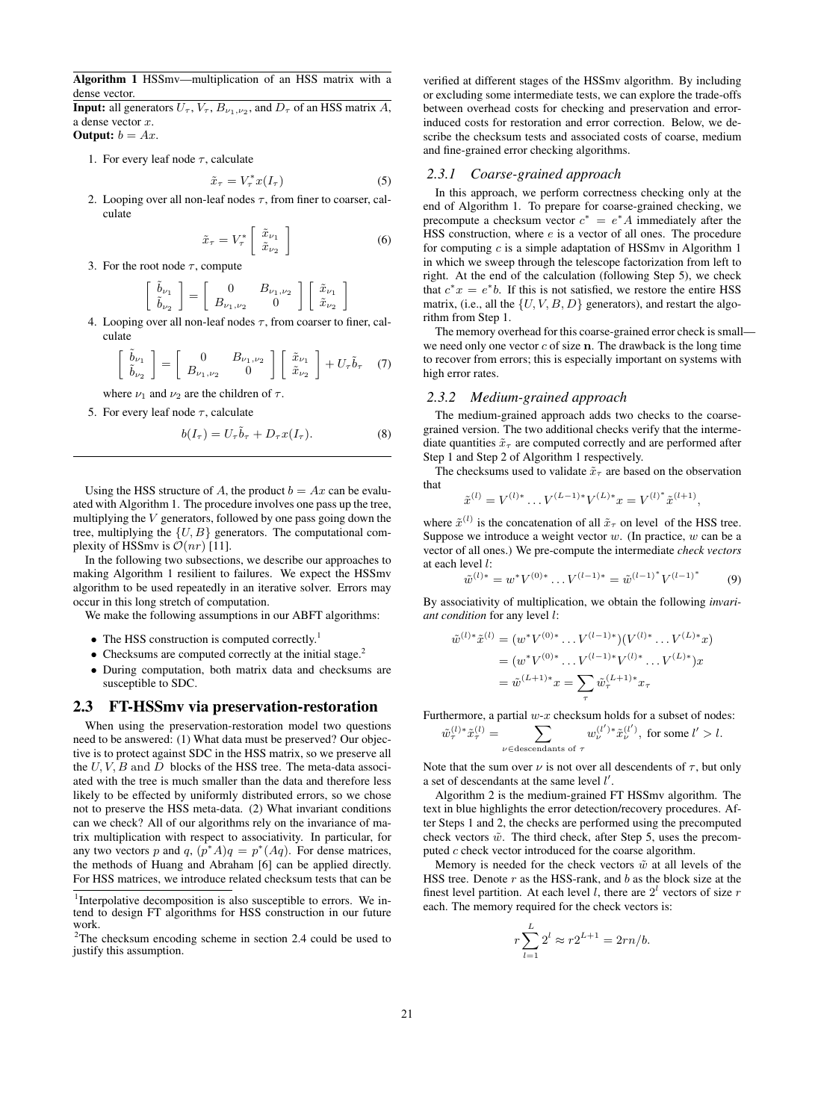Algorithm 1 HSSmv—multiplication of an HSS matrix with a dense vector.

**Input:** all generators  $U_{\tau}$ ,  $V_{\tau}$ ,  $B_{\nu_1,\nu_2}$ , and  $D_{\tau}$  of an HSS matrix  $A$ , a dense vector x.

**Output:**  $b = Ax$ .

1. For every leaf node  $\tau$ , calculate

$$
\tilde{x}_{\tau} = V_{\tau}^* x(I_{\tau}) \tag{5}
$$

2. Looping over all non-leaf nodes  $\tau$ , from finer to coarser, calculate

$$
\tilde{x}_{\tau} = V_{\tau}^* \left[ \begin{array}{c} \tilde{x}_{\nu_1} \\ \tilde{x}_{\nu_2} \end{array} \right] \tag{6}
$$

3. For the root node  $\tau$ , compute

$$
\left[\begin{array}{c}\tilde{b}_{\nu_1} \\ \tilde{b}_{\nu_2}\end{array}\right] = \left[\begin{array}{cc}0 & B_{\nu_1,\nu_2} \\ B_{\nu_1,\nu_2} & 0\end{array}\right] \left[\begin{array}{c}\tilde{x}_{\nu_1} \\ \tilde{x}_{\nu_2}\end{array}\right]
$$

4. Looping over all non-leaf nodes  $\tau$ , from coarser to finer, calculate

$$
\begin{bmatrix}\n\tilde{b}_{\nu_1} \\
\tilde{b}_{\nu_2}\n\end{bmatrix} = \begin{bmatrix}\n0 & B_{\nu_1,\nu_2} \\
B_{\nu_1,\nu_2} & 0\n\end{bmatrix} \begin{bmatrix}\n\tilde{x}_{\nu_1} \\
\tilde{x}_{\nu_2}\n\end{bmatrix} + U_{\tau} \tilde{b}_{\tau}\n\tag{7}
$$

where  $\nu_1$  and  $\nu_2$  are the children of  $\tau$ .

5. For every leaf node  $\tau$ , calculate

$$
b(I_{\tau}) = U_{\tau} \tilde{b}_{\tau} + D_{\tau} x(I_{\tau}). \tag{8}
$$

Using the HSS structure of A, the product  $b = Ax$  can be evaluated with Algorithm 1. The procedure involves one pass up the tree, multiplying the  $V$  generators, followed by one pass going down the tree, multiplying the  $\{U, B\}$  generators. The computational complexity of HSSmv is  $\mathcal{O}(nr)$  [11].

In the following two subsections, we describe our approaches to making Algorithm 1 resilient to failures. We expect the HSSmv algorithm to be used repeatedly in an iterative solver. Errors may occur in this long stretch of computation.

We make the following assumptions in our ABFT algorithms:

- The HSS construction is computed correctly.<sup>1</sup>
- Checksums are computed correctly at the initial stage.<sup>2</sup>
- During computation, both matrix data and checksums are susceptible to SDC.

### 2.3 FT-HSSmv via preservation-restoration

When using the preservation-restoration model two questions need to be answered: (1) What data must be preserved? Our objective is to protect against SDC in the HSS matrix, so we preserve all the  $U, V, B$  and  $D$  blocks of the HSS tree. The meta-data associated with the tree is much smaller than the data and therefore less likely to be effected by uniformly distributed errors, so we chose not to preserve the HSS meta-data. (2) What invariant conditions can we check? All of our algorithms rely on the invariance of matrix multiplication with respect to associativity. In particular, for any two vectors p and q,  $(p^*A)q = p^*(Aq)$ . For dense matrices, the methods of Huang and Abraham [6] can be applied directly. For HSS matrices, we introduce related checksum tests that can be verified at different stages of the HSSmv algorithm. By including or excluding some intermediate tests, we can explore the trade-offs between overhead costs for checking and preservation and errorinduced costs for restoration and error correction. Below, we describe the checksum tests and associated costs of coarse, medium and fine-grained error checking algorithms.

#### *2.3.1 Coarse-grained approach*

In this approach, we perform correctness checking only at the end of Algorithm 1. To prepare for coarse-grained checking, we precompute a checksum vector  $c^* = e^*A$  immediately after the HSS construction, where  $e$  is a vector of all ones. The procedure for computing  $c$  is a simple adaptation of HSSmy in Algorithm 1 in which we sweep through the telescope factorization from left to right. At the end of the calculation (following Step 5), we check that  $c^*x = e^*b$ . If this is not satisfied, we restore the entire HSS matrix, (i.e., all the  $\{U, V, B, D\}$  generators), and restart the algorithm from Step 1.

The memory overhead for this coarse-grained error check is small we need only one vector  $c$  of size n. The drawback is the long time to recover from errors; this is especially important on systems with high error rates.

#### *2.3.2 Medium-grained approach*

The medium-grained approach adds two checks to the coarsegrained version. The two additional checks verify that the intermediate quantities  $\tilde{x}_{\tau}$  are computed correctly and are performed after Step 1 and Step 2 of Algorithm 1 respectively.

The checksums used to validate  $\tilde{x}_{\tau}$  are based on the observation that

$$
\tilde{x}^{(l)} = V^{(l)*} \dots V^{(L-1)*} V^{(L)*} x = V^{(l)*} \tilde{x}^{(l+1)},
$$

where  $\tilde{x}^{(l)}$  is the concatenation of all  $\tilde{x}_{\tau}$  on level of the HSS tree. Suppose we introduce a weight vector  $w$ . (In practice,  $w$  can be a vector of all ones.) We pre-compute the intermediate *check vectors* at each level l:

$$
\tilde{w}^{(l)*} = w^* V^{(0)*} \dots V^{(l-1)*} = \tilde{w}^{(l-1)*} V^{(l-1)*} \tag{9}
$$

By associativity of multiplication, we obtain the following *invariant condition* for any level l:

$$
\tilde{w}^{(l)*}\tilde{x}^{(l)} = (w^*V^{(0)*}\dots V^{(l-1)*})(V^{(l)*}\dots V^{(L)*}x)
$$

$$
= (w^*V^{(0)*}\dots V^{(l-1)*}V^{(l)*}\dots V^{(L)*})x
$$

$$
= \tilde{w}^{(L+1)*}x = \sum_{\tau} \tilde{w}^{(L+1)*}_{\tau}x_{\tau}
$$

Furthermore, a partial  $w-x$  checksum holds for a subset of nodes:

$$
\tilde{w}_{\tau}^{(l)*}\tilde{x}_{\tau}^{(l)} = \sum_{\nu \in \text{descendants of }\tau} w_{\nu}^{(l')*}\tilde{x}_{\nu}^{(l')}, \text{ for some } l' > l.
$$

Note that the sum over  $\nu$  is not over all descendents of  $\tau$ , but only a set of descendants at the same level  $l'$ .

Algorithm 2 is the medium-grained FT HSSmv algorithm. The text in blue highlights the error detection/recovery procedures. After Steps 1 and 2, the checks are performed using the precomputed check vectors  $\tilde{w}$ . The third check, after Step 5, uses the precomputed c check vector introduced for the coarse algorithm.

Memory is needed for the check vectors  $\tilde{w}$  at all levels of the HSS tree. Denote  $r$  as the HSS-rank, and  $b$  as the block size at the finest level partition. At each level *l*, there are  $2<sup>l</sup>$  vectors of size *r* each. The memory required for the check vectors is:

$$
r\sum_{l=1}^{L} 2^{l} \approx r2^{L+1} = 2rn/b.
$$

<sup>&</sup>lt;sup>1</sup>Interpolative decomposition is also susceptible to errors. We intend to design FT algorithms for HSS construction in our future work.

<sup>&</sup>lt;sup>2</sup>The checksum encoding scheme in section 2.4 could be used to justify this assumption.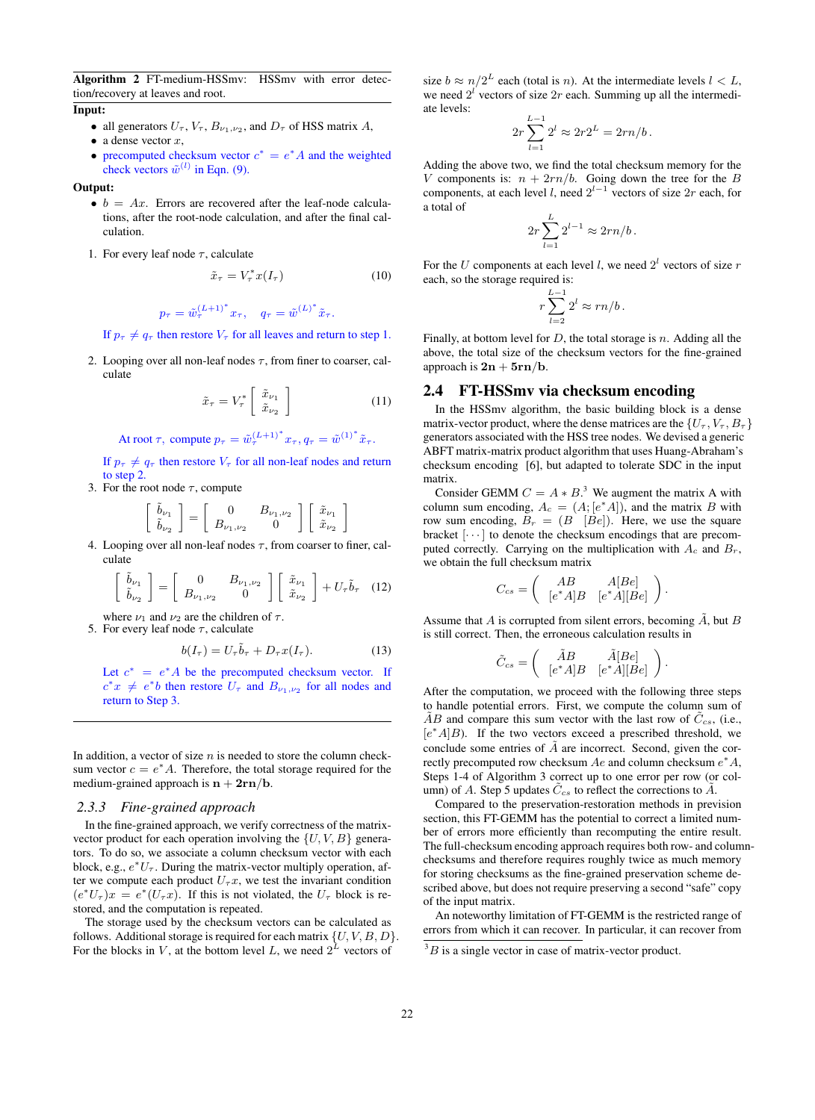Algorithm 2 FT-medium-HSSmv: HSSmv with error detection/recovery at leaves and root.

#### Input:

- all generators  $U_{\tau}$ ,  $V_{\tau}$ ,  $B_{\nu_1,\nu_2}$ , and  $D_{\tau}$  of HSS matrix A,
- a dense vector  $x$ ,
- precomputed checksum vector  $c^* = e^* A$  and the weighted check vectors  $\tilde{w}^{(l)}$  in Eqn. (9).

Output:

- $\bullet$   $b = Ax$ . Errors are recovered after the leaf-node calculations, after the root-node calculation, and after the final calculation.
- 1. For every leaf node  $\tau$ , calculate

$$
\tilde{x}_{\tau} = V_{\tau}^* x(I_{\tau}) \tag{10}
$$

$$
p_{\tau} = \tilde{w}_{\tau}^{(L+1)^*} x_{\tau}, \quad q_{\tau} = \tilde{w}^{(L)^*} \tilde{x}_{\tau}.
$$

If  $p_{\tau} \neq q_{\tau}$  then restore  $V_{\tau}$  for all leaves and return to step 1.

2. Looping over all non-leaf nodes  $\tau$ , from finer to coarser, calculate

$$
\tilde{x}_{\tau} = V_{\tau}^* \left[ \begin{array}{c} \tilde{x}_{\nu_1} \\ \tilde{x}_{\nu_2} \end{array} \right] \tag{11}
$$

At root  $\tau$ , compute  $p_{\tau} = \tilde{w}_{\tau}^{(L+1)^*} x_{\tau}$ ,  $q_{\tau} = \tilde{w}^{(1)^*} \tilde{x}_{\tau}$ .

If  $p_{\tau} \neq q_{\tau}$  then restore  $V_{\tau}$  for all non-leaf nodes and return to step 2.

3. For the root node  $\tau$ , compute

$$
\left[\begin{array}{c}\tilde{b}_{\nu_1} \\ \tilde{b}_{\nu_2}\end{array}\right] = \left[\begin{array}{cc}0 & B_{\nu_1,\nu_2} \\ B_{\nu_1,\nu_2} & 0\end{array}\right] \left[\begin{array}{c}\tilde{x}_{\nu_1} \\ \tilde{x}_{\nu_2}\end{array}\right]
$$

4. Looping over all non-leaf nodes  $\tau$ , from coarser to finer, calculate

$$
\begin{bmatrix}\n\tilde{b}_{\nu_1} \\
\tilde{b}_{\nu_2}\n\end{bmatrix} = \begin{bmatrix}\n0 & B_{\nu_1,\nu_2} \\
B_{\nu_1,\nu_2} & 0\n\end{bmatrix} \begin{bmatrix}\n\tilde{x}_{\nu_1} \\
\tilde{x}_{\nu_2}\n\end{bmatrix} + U_{\tau} \tilde{b}_{\tau} \quad (12)
$$

where  $\nu_1$  and  $\nu_2$  are the children of  $\tau$ .

5. For every leaf node  $\tau$ , calculate

$$
b(I_{\tau}) = U_{\tau}\tilde{b}_{\tau} + D_{\tau}x(I_{\tau}). \tag{13}
$$

Let  $c^* = e^*A$  be the precomputed checksum vector. If  $c^*x \neq e^*b$  then restore  $U_\tau$  and  $B_{\nu_1,\nu_2}$  for all nodes and return to Step 3.

In addition, a vector of size  $n$  is needed to store the column checksum vector  $c = e^* A$ . Therefore, the total storage required for the medium-grained approach is  $n + 2rn/b$ .

#### *2.3.3 Fine-grained approach*

In the fine-grained approach, we verify correctness of the matrixvector product for each operation involving the  $\{U, V, B\}$  generators. To do so, we associate a column checksum vector with each block, e.g.,  $e^*U_\tau$ . During the matrix-vector multiply operation, after we compute each product  $U_\tau x$ , we test the invariant condition  $(e^*U_\tau)x = e^*(U_\tau x)$ . If this is not violated, the  $U_\tau$  block is restored, and the computation is repeated.

The storage used by the checksum vectors can be calculated as follows. Additional storage is required for each matrix  $\{U, V, B, D\}$ . For the blocks in V, at the bottom level L, we need  $2^L$  vectors of

size  $b \approx n/2^L$  each (total is *n*). At the intermediate levels  $l < L$ , we need  $2<sup>l</sup>$  vectors of size  $2r$  each. Summing up all the intermediate levels:

$$
2r\sum_{l=1}^{L-1} 2^l \approx 2r2^L = 2rn/b.
$$

Adding the above two, we find the total checksum memory for the V components is:  $n + 2rn/b$ . Going down the tree for the B components, at each level l, need  $2^{l-1}$  vectors of size  $2r$  each, for a total of

$$
2r\sum_{l=1}^{L}2^{l-1}\approx 2rn/b.
$$

For the U components at each level l, we need  $2<sup>l</sup>$  vectors of size r each, so the storage required is:

$$
r\sum_{l=2}^{L-1}2^l\approx rn/b.
$$

Finally, at bottom level for  $D$ , the total storage is  $n$ . Adding all the above, the total size of the checksum vectors for the fine-grained approach is  $2n + 5rn/b$ .

### 2.4 FT-HSSmv via checksum encoding

In the HSSmv algorithm, the basic building block is a dense matrix-vector product, where the dense matrices are the  $\{U_\tau, V_\tau, B_\tau\}$ generators associated with the HSS tree nodes. We devised a generic ABFT matrix-matrix product algorithm that uses Huang-Abraham's checksum encoding [6], but adapted to tolerate SDC in the input matrix.

Consider GEMM  $C = A * B$ .<sup>3</sup> We augment the matrix A with column sum encoding,  $A_c = (A; [e^*A])$ , and the matrix B with row sum encoding,  $B_r = (B \nvert Be)$ . Here, we use the square bracket  $[\cdots]$  to denote the checksum encodings that are precomputed correctly. Carrying on the multiplication with  $A_c$  and  $B_r$ , we obtain the full checksum matrix

$$
C_{cs} = \begin{pmatrix} AB & A[Be] \\ [e^*A]B & [e^*A][Be] \end{pmatrix}.
$$

Assume that A is corrupted from silent errors, becoming  $\tilde{A}$ , but B is still correct. Then, the erroneous calculation results in

$$
\tilde{C}_{cs} = \begin{pmatrix} \tilde{A}B & \tilde{A}[Be] \\ [e^*A]B & [e^*A][Be] \end{pmatrix}.
$$

After the computation, we proceed with the following three steps to handle potential errors. First, we compute the column sum of  $\overline{AB}$  and compare this sum vector with the last row of  $\overline{C}_{cs}$ , (i.e., [e<sup>\*</sup>A]B). If the two vectors exceed a prescribed threshold, we conclude some entries of  $\tilde{A}$  are incorrect. Second, given the correctly precomputed row checksum  $Ae$  and column checksum  $e^*A$ , Steps 1-4 of Algorithm 3 correct up to one error per row (or column) of A. Step 5 updates  $\tilde{C}_{cs}$  to reflect the corrections to  $\tilde{A}$ .

Compared to the preservation-restoration methods in prevision section, this FT-GEMM has the potential to correct a limited number of errors more efficiently than recomputing the entire result. The full-checksum encoding approach requires both row- and columnchecksums and therefore requires roughly twice as much memory for storing checksums as the fine-grained preservation scheme described above, but does not require preserving a second "safe" copy of the input matrix.

An noteworthy limitation of FT-GEMM is the restricted range of errors from which it can recover. In particular, it can recover from

 ${}^{3}B$  is a single vector in case of matrix-vector product.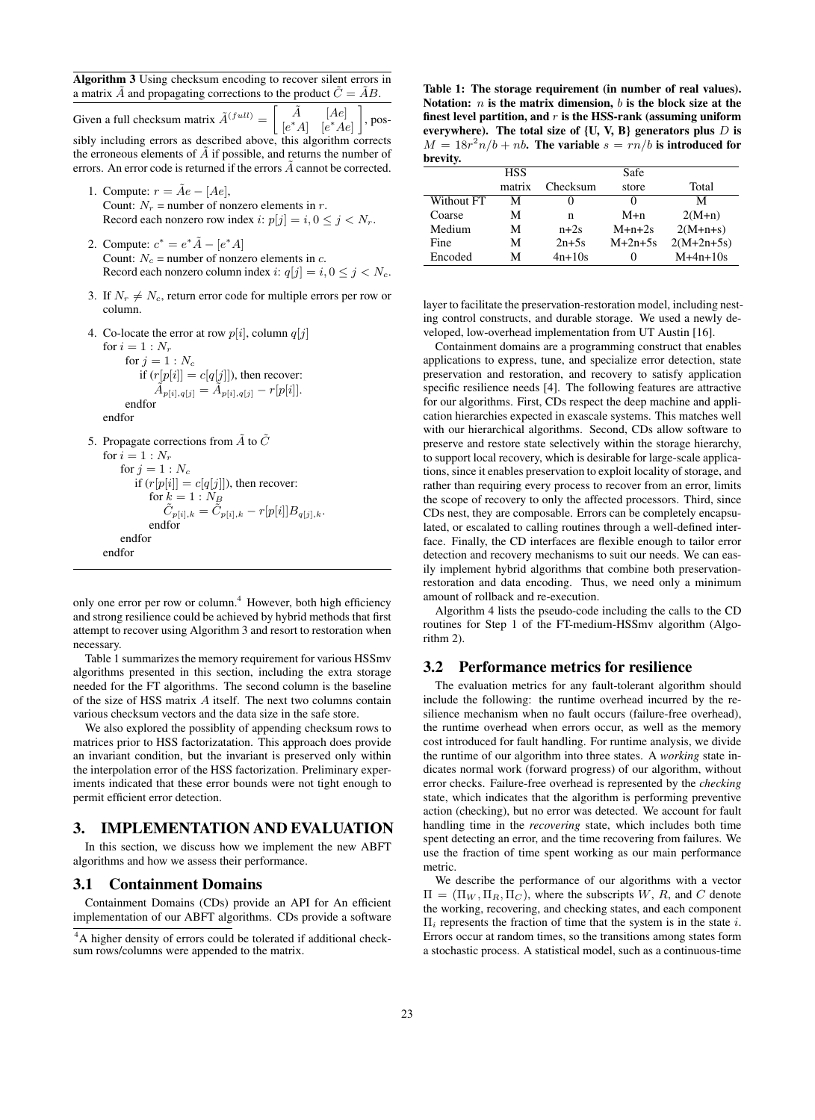Algorithm 3 Using checksum encoding to recover silent errors in a matrix  $\tilde{A}$  and propagating corrections to the product  $\tilde{C} = \tilde{A}B$ .

Given a full checksum matrix  $\tilde{A}^{(full)} =$  $\overline{1}$  $A$  [Ae]  $[e^*A]$  [e  $[e^*Ae]$ 1 , possibly including errors as described above, this algorithm corrects the erroneous elements of  $\tilde{A}$  if possible, and returns the number of errors. An error code is returned if the errors  $\vec{A}$  cannot be corrected.

- 1. Compute:  $r = \tilde{A}e [Ae],$ Count:  $N_r$  = number of nonzero elements in r. Record each nonzero row index i:  $p[j] = i, 0 \le j \le N_r$ .
- 2. Compute:  $c^* = e^* \tilde{A} [e^* A]$ Count:  $N_c$  = number of nonzero elements in c. Record each nonzero column index i:  $q[j] = i, 0 \le j \le N_c$ .
- 3. If  $N_r \neq N_c$ , return error code for multiple errors per row or column.
- 4. Co-locate the error at row  $p[i]$ , column  $q[j]$

```
for i = 1 : N_rfor j = 1 : N_cif (r[p[i]] = c[q[j]]), then recover:
             \tilde{A}_{p[i],q[j]} = \tilde{A}_{p[i],q[j]} - r[p[i]].endfor
endfor
```

```
5. Propagate corrections from \tilde{A} to \tilde{C}for i = 1 : N_rfor i = 1 : N_cif (r[p[i]] = c[q[j]]), then recover:
                for k = 1 : N_B\tilde{C}_{p[i],k} = \tilde{C}_{p[i],k} - r[p[i]]B_{q[j],k}.endfor
        endfor
```
endfor

only one error per row or column.<sup>4</sup> However, both high efficiency and strong resilience could be achieved by hybrid methods that first attempt to recover using Algorithm 3 and resort to restoration when necessary.

Table 1 summarizes the memory requirement for various HSSmv algorithms presented in this section, including the extra storage needed for the FT algorithms. The second column is the baseline of the size of HSS matrix A itself. The next two columns contain various checksum vectors and the data size in the safe store.

We also explored the possiblity of appending checksum rows to matrices prior to HSS factorizatation. This approach does provide an invariant condition, but the invariant is preserved only within the interpolation error of the HSS factorization. Preliminary experiments indicated that these error bounds were not tight enough to permit efficient error detection.

### 3. IMPLEMENTATION AND EVALUATION

In this section, we discuss how we implement the new ABFT algorithms and how we assess their performance.

#### 3.1 Containment Domains

Containment Domains (CDs) provide an API for An efficient implementation of our ABFT algorithms. CDs provide a software

Table 1: The storage requirement (in number of real values). Notation:  $n$  is the matrix dimension,  $b$  is the block size at the finest level partition, and  $r$  is the HSS-rank (assuming uniform everywhere). The total size of  $\{U, V, B\}$  generators plus D is  $M = 18r^2n/b + nb$ . The variable  $s = rn/b$  is introduced for brevity.

|            | <b>HSS</b> |                   | Safe      |              |
|------------|------------|-------------------|-----------|--------------|
|            | matrix     | Checksum          | store     | Total        |
| Without FT | М          | $\mathbf{\Omega}$ |           | М            |
| Coarse     | М          | n                 | $M+n$     | $2(M+n)$     |
| Medium     | М          | $n+2s$            | $M+n+2s$  | $2(M+n+s)$   |
| Fine       | М          | $2n+5s$           | $M+2n+5s$ | $2(M+2n+5s)$ |
| Encoded    | М          | $4n+10s$          |           | $M+4n+10s$   |

layer to facilitate the preservation-restoration model, including nesting control constructs, and durable storage. We used a newly developed, low-overhead implementation from UT Austin [16].

Containment domains are a programming construct that enables applications to express, tune, and specialize error detection, state preservation and restoration, and recovery to satisfy application specific resilience needs [4]. The following features are attractive for our algorithms. First, CDs respect the deep machine and application hierarchies expected in exascale systems. This matches well with our hierarchical algorithms. Second, CDs allow software to preserve and restore state selectively within the storage hierarchy, to support local recovery, which is desirable for large-scale applications, since it enables preservation to exploit locality of storage, and rather than requiring every process to recover from an error, limits the scope of recovery to only the affected processors. Third, since CDs nest, they are composable. Errors can be completely encapsulated, or escalated to calling routines through a well-defined interface. Finally, the CD interfaces are flexible enough to tailor error detection and recovery mechanisms to suit our needs. We can easily implement hybrid algorithms that combine both preservationrestoration and data encoding. Thus, we need only a minimum amount of rollback and re-execution.

Algorithm 4 lists the pseudo-code including the calls to the CD routines for Step 1 of the FT-medium-HSSmv algorithm (Algorithm 2).

# 3.2 Performance metrics for resilience

The evaluation metrics for any fault-tolerant algorithm should include the following: the runtime overhead incurred by the resilience mechanism when no fault occurs (failure-free overhead), the runtime overhead when errors occur, as well as the memory cost introduced for fault handling. For runtime analysis, we divide the runtime of our algorithm into three states. A *working* state indicates normal work (forward progress) of our algorithm, without error checks. Failure-free overhead is represented by the *checking* state, which indicates that the algorithm is performing preventive action (checking), but no error was detected. We account for fault handling time in the *recovering* state, which includes both time spent detecting an error, and the time recovering from failures. We use the fraction of time spent working as our main performance metric.

We describe the performance of our algorithms with a vector  $\Pi = (\Pi_W, \Pi_R, \Pi_C)$ , where the subscripts W, R, and C denote the working, recovering, and checking states, and each component  $\Pi_i$  represents the fraction of time that the system is in the state i. Errors occur at random times, so the transitions among states form a stochastic process. A statistical model, such as a continuous-time

<sup>4</sup>A higher density of errors could be tolerated if additional checksum rows/columns were appended to the matrix.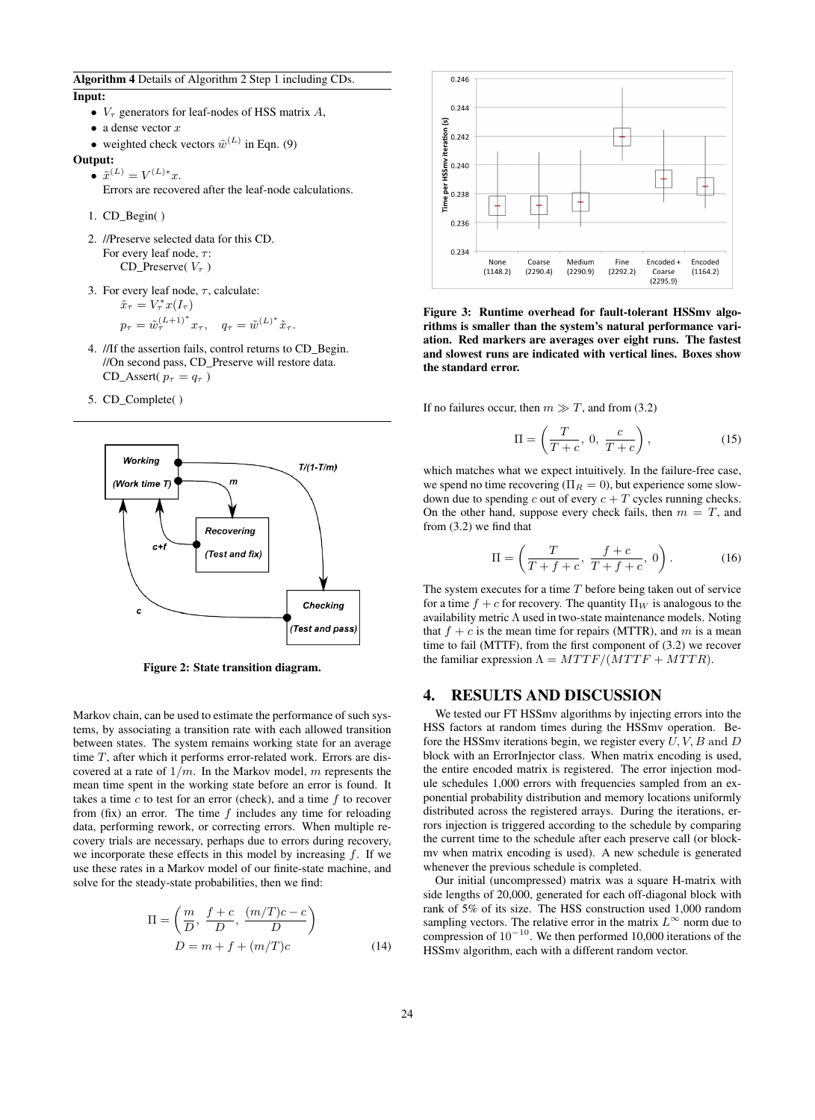Algorithm 4 Details of Algorithm 2 Step 1 including CDs.

Input:

- $V_{\tau}$  generators for leaf-nodes of HSS matrix A,
- a dense vector  $x$
- weighted check vectors  $\tilde{w}^{(L)}$  in Eqn. (9)

#### Output:

- $\tilde{x}^{(L)} = V^{(L)*}x$ .
	- Errors are recovered after the leaf-node calculations.
- 1. CD\_Begin( )
- 2. //Preserve selected data for this CD. For every leaf node,  $\tau$ : CD\_Preserve( $V_{\tau}$ )
- 3. For every leaf node,  $\tau$ , calculate:  $\tilde{x}_{\tau} = V_{\tau}^* x(I_{\tau})$

$$
p_{\tau} = \tilde{w}_{\tau}^{(L+1)^*} x_{\tau}, \quad q_{\tau} = \tilde{w}^{(L)^*} \tilde{x}_{\tau}.
$$

- 4. //If the assertion fails, control returns to CD\_Begin. //On second pass, CD\_Preserve will restore data. CD\_Assert(  $p_{\tau} = q_{\tau}$  )
- 5. CD\_Complete( )



Figure 2: State transition diagram.

Markov chain, can be used to estimate the performance of such systems, by associating a transition rate with each allowed transition between states. The system remains working state for an average time T, after which it performs error-related work. Errors are discovered at a rate of  $1/m$ . In the Markov model, m represents the mean time spent in the working state before an error is found. It takes a time  $c$  to test for an error (check), and a time  $f$  to recover from (fix) an error. The time  $f$  includes any time for reloading data, performing rework, or correcting errors. When multiple recovery trials are necessary, perhaps due to errors during recovery, we incorporate these effects in this model by increasing  $f$ . If we use these rates in a Markov model of our finite-state machine, and solve for the steady-state probabilities, then we find:

$$
\Pi = \left(\frac{m}{D}, \frac{f+c}{D}, \frac{(m/T)c - c}{D}\right)
$$
  

$$
D = m + f + (m/T)c
$$
 (14)



Figure 3: Runtime overhead for fault-tolerant HSSmv algorithms is smaller than the system's natural performance variation. Red markers are averages over eight runs. The fastest and slowest runs are indicated with vertical lines. Boxes show the standard error.

If no failures occur, then  $m \gg T$ , and from (3.2)

$$
\Pi = \left(\frac{T}{T+c}, 0, \frac{c}{T+c}\right),\tag{15}
$$

which matches what we expect intuitively. In the failure-free case, we spend no time recovering ( $\Pi_R = 0$ ), but experience some slowdown due to spending c out of every  $c + T$  cycles running checks. On the other hand, suppose every check fails, then  $m = T$ , and from (3.2) we find that

$$
\Pi = \left(\frac{T}{T+f+c}, \frac{f+c}{T+f+c}, 0\right). \tag{16}
$$

The system executes for a time  $T$  before being taken out of service for a time  $f + c$  for recovery. The quantity  $\Pi_W$  is analogous to the availability metric  $\Lambda$  used in two-state maintenance models. Noting that  $f + c$  is the mean time for repairs (MTTR), and m is a mean time to fail (MTTF), from the first component of (3.2) we recover the familiar expression  $\Lambda = MTTF/(MTTF + MTTR)$ .

# 4. RESULTS AND DISCUSSION

We tested our FT HSSmv algorithms by injecting errors into the HSS factors at random times during the HSSmv operation. Before the HSSmy iterations begin, we register every  $U, V, B$  and  $D$ block with an ErrorInjector class. When matrix encoding is used, the entire encoded matrix is registered. The error injection module schedules 1,000 errors with frequencies sampled from an exponential probability distribution and memory locations uniformly distributed across the registered arrays. During the iterations, errors injection is triggered according to the schedule by comparing the current time to the schedule after each preserve call (or blockmv when matrix encoding is used). A new schedule is generated whenever the previous schedule is completed.

Our initial (uncompressed) matrix was a square H-matrix with side lengths of 20,000, generated for each off-diagonal block with rank of 5% of its size. The HSS construction used 1,000 random sampling vectors. The relative error in the matrix  $L^{\infty}$  norm due to compression of  $10^{-10}$ . We then performed 10,000 iterations of the HSSmv algorithm, each with a different random vector.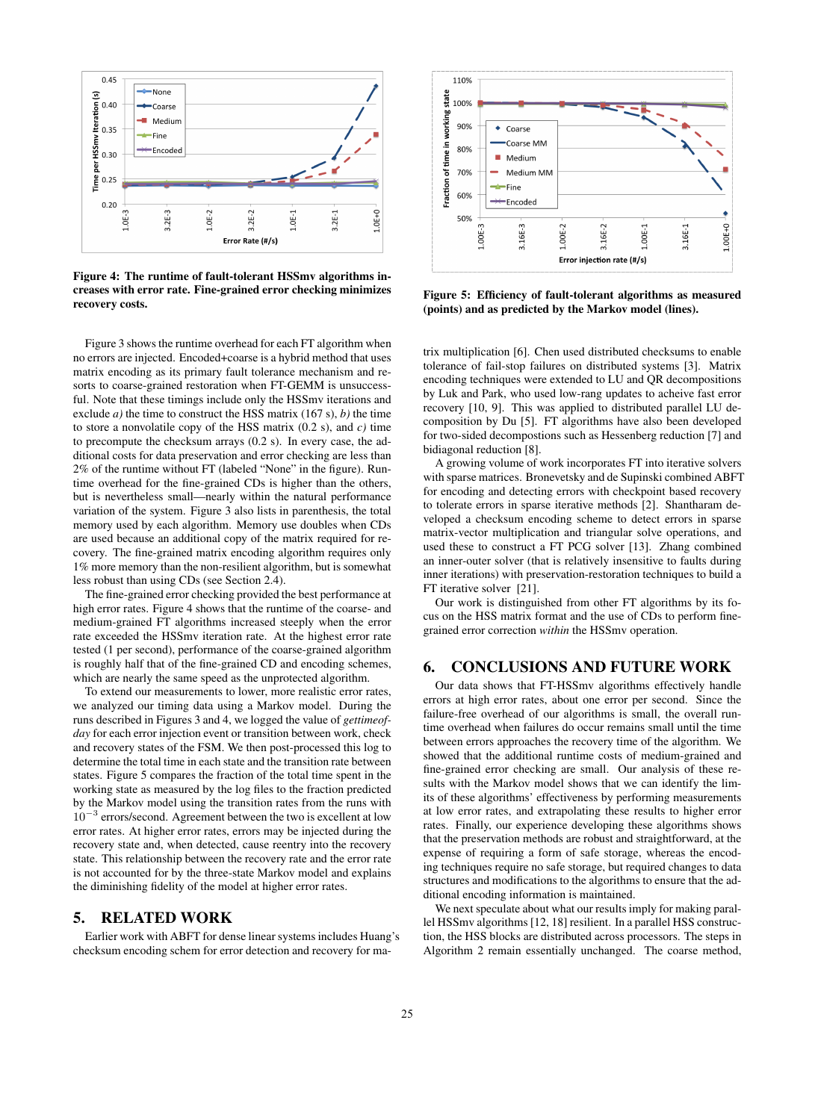

Figure 4: The runtime of fault-tolerant HSSmv algorithms increases with error rate. Fine-grained error checking minimizes recovery costs.

Figure 3 shows the runtime overhead for each FT algorithm when no errors are injected. Encoded+coarse is a hybrid method that uses matrix encoding as its primary fault tolerance mechanism and resorts to coarse-grained restoration when FT-GEMM is unsuccessful. Note that these timings include only the HSSmv iterations and exclude *a)* the time to construct the HSS matrix (167 s), *b)* the time to store a nonvolatile copy of the HSS matrix (0.2 s), and *c)* time to precompute the checksum arrays (0.2 s). In every case, the additional costs for data preservation and error checking are less than 2% of the runtime without FT (labeled "None" in the figure). Runtime overhead for the fine-grained CDs is higher than the others, but is nevertheless small—nearly within the natural performance variation of the system. Figure 3 also lists in parenthesis, the total memory used by each algorithm. Memory use doubles when CDs are used because an additional copy of the matrix required for recovery. The fine-grained matrix encoding algorithm requires only 1% more memory than the non-resilient algorithm, but is somewhat less robust than using CDs (see Section 2.4).

The fine-grained error checking provided the best performance at high error rates. Figure 4 shows that the runtime of the coarse- and medium-grained FT algorithms increased steeply when the error rate exceeded the HSSmv iteration rate. At the highest error rate tested (1 per second), performance of the coarse-grained algorithm is roughly half that of the fine-grained CD and encoding schemes, which are nearly the same speed as the unprotected algorithm.

To extend our measurements to lower, more realistic error rates, we analyzed our timing data using a Markov model. During the runs described in Figures 3 and 4, we logged the value of *gettimeofday* for each error injection event or transition between work, check and recovery states of the FSM. We then post-processed this log to determine the total time in each state and the transition rate between states. Figure 5 compares the fraction of the total time spent in the working state as measured by the log files to the fraction predicted by the Markov model using the transition rates from the runs with 10<sup>−</sup><sup>3</sup> errors/second. Agreement between the two is excellent at low error rates. At higher error rates, errors may be injected during the recovery state and, when detected, cause reentry into the recovery state. This relationship between the recovery rate and the error rate is not accounted for by the three-state Markov model and explains the diminishing fidelity of the model at higher error rates.

# 5. RELATED WORK

Earlier work with ABFT for dense linear systems includes Huang's checksum encoding schem for error detection and recovery for ma-



Figure 5: Efficiency of fault-tolerant algorithms as measured (points) and as predicted by the Markov model (lines).

trix multiplication [6]. Chen used distributed checksums to enable tolerance of fail-stop failures on distributed systems [3]. Matrix encoding techniques were extended to LU and QR decompositions by Luk and Park, who used low-rang updates to acheive fast error recovery [10, 9]. This was applied to distributed parallel LU decomposition by Du [5]. FT algorithms have also been developed for two-sided decompostions such as Hessenberg reduction [7] and bidiagonal reduction [8].

A growing volume of work incorporates FT into iterative solvers with sparse matrices. Bronevetsky and de Supinski combined ABFT for encoding and detecting errors with checkpoint based recovery to tolerate errors in sparse iterative methods [2]. Shantharam developed a checksum encoding scheme to detect errors in sparse matrix-vector multiplication and triangular solve operations, and used these to construct a FT PCG solver [13]. Zhang combined an inner-outer solver (that is relatively insensitive to faults during inner iterations) with preservation-restoration techniques to build a FT iterative solver [21].

Our work is distinguished from other FT algorithms by its focus on the HSS matrix format and the use of CDs to perform finegrained error correction *within* the HSSmv operation.

# 6. CONCLUSIONS AND FUTURE WORK

Our data shows that FT-HSSmv algorithms effectively handle errors at high error rates, about one error per second. Since the failure-free overhead of our algorithms is small, the overall runtime overhead when failures do occur remains small until the time between errors approaches the recovery time of the algorithm. We showed that the additional runtime costs of medium-grained and fine-grained error checking are small. Our analysis of these results with the Markov model shows that we can identify the limits of these algorithms' effectiveness by performing measurements at low error rates, and extrapolating these results to higher error rates. Finally, our experience developing these algorithms shows that the preservation methods are robust and straightforward, at the expense of requiring a form of safe storage, whereas the encoding techniques require no safe storage, but required changes to data structures and modifications to the algorithms to ensure that the additional encoding information is maintained.

We next speculate about what our results imply for making parallel HSSmv algorithms [12, 18] resilient. In a parallel HSS construction, the HSS blocks are distributed across processors. The steps in Algorithm 2 remain essentially unchanged. The coarse method,